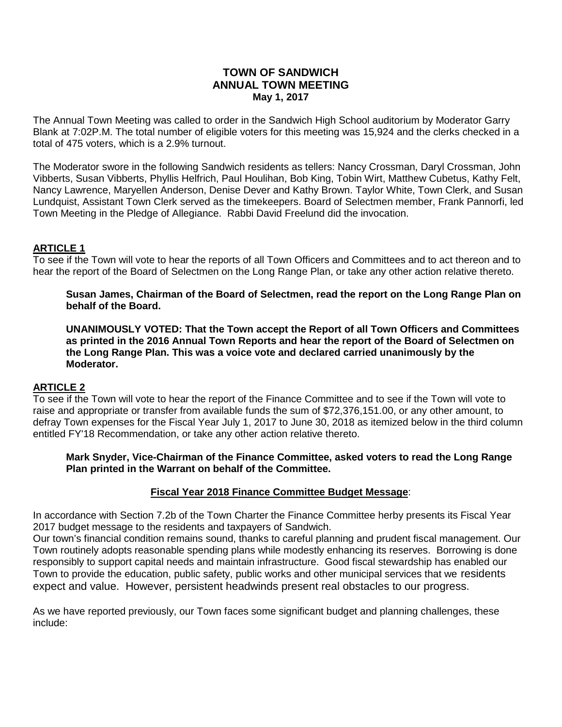## **TOWN OF SANDWICH ANNUAL TOWN MEETING May 1, 2017**

The Annual Town Meeting was called to order in the Sandwich High School auditorium by Moderator Garry Blank at 7:02P.M. The total number of eligible voters for this meeting was 15,924 and the clerks checked in a total of 475 voters, which is a 2.9% turnout.

The Moderator swore in the following Sandwich residents as tellers: Nancy Crossman, Daryl Crossman, John Vibberts, Susan Vibberts, Phyllis Helfrich, Paul Houlihan, Bob King, Tobin Wirt, Matthew Cubetus, Kathy Felt, Nancy Lawrence, Maryellen Anderson, Denise Dever and Kathy Brown. Taylor White, Town Clerk, and Susan Lundquist, Assistant Town Clerk served as the timekeepers. Board of Selectmen member, Frank Pannorfi, led Town Meeting in the Pledge of Allegiance. Rabbi David Freelund did the invocation.

## **ARTICLE 1**

To see if the Town will vote to hear the reports of all Town Officers and Committees and to act thereon and to hear the report of the Board of Selectmen on the Long Range Plan, or take any other action relative thereto.

**Susan James, Chairman of the Board of Selectmen, read the report on the Long Range Plan on behalf of the Board.** 

**UNANIMOUSLY VOTED: That the Town accept the Report of all Town Officers and Committees as printed in the 2016 Annual Town Reports and hear the report of the Board of Selectmen on the Long Range Plan. This was a voice vote and declared carried unanimously by the Moderator.**

## **ARTICLE 2**

To see if the Town will vote to hear the report of the Finance Committee and to see if the Town will vote to raise and appropriate or transfer from available funds the sum of \$72,376,151.00, or any other amount, to defray Town expenses for the Fiscal Year July 1, 2017 to June 30, 2018 as itemized below in the third column entitled FY'18 Recommendation, or take any other action relative thereto.

## **Mark Snyder, Vice-Chairman of the Finance Committee, asked voters to read the Long Range Plan printed in the Warrant on behalf of the Committee.**

## **Fiscal Year 2018 Finance Committee Budget Message**:

In accordance with Section 7.2b of the Town Charter the Finance Committee herby presents its Fiscal Year 2017 budget message to the residents and taxpayers of Sandwich.

Our town's financial condition remains sound, thanks to careful planning and prudent fiscal management. Our Town routinely adopts reasonable spending plans while modestly enhancing its reserves. Borrowing is done responsibly to support capital needs and maintain infrastructure. Good fiscal stewardship has enabled our Town to provide the education, public safety, public works and other municipal services that we residents expect and value. However, persistent headwinds present real obstacles to our progress.

As we have reported previously, our Town faces some significant budget and planning challenges, these include: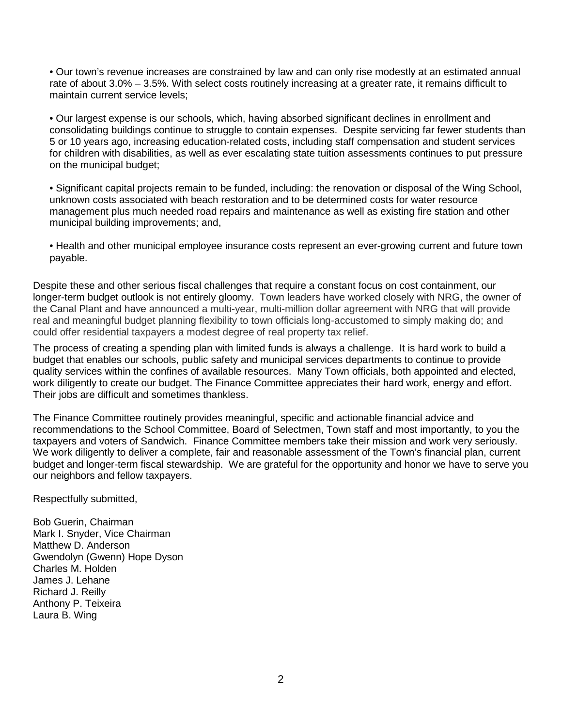• Our town's revenue increases are constrained by law and can only rise modestly at an estimated annual rate of about 3.0% – 3.5%. With select costs routinely increasing at a greater rate, it remains difficult to maintain current service levels;

• Our largest expense is our schools, which, having absorbed significant declines in enrollment and consolidating buildings continue to struggle to contain expenses. Despite servicing far fewer students than 5 or 10 years ago, increasing education-related costs, including staff compensation and student services for children with disabilities, as well as ever escalating state tuition assessments continues to put pressure on the municipal budget;

• Significant capital projects remain to be funded, including: the renovation or disposal of the Wing School, unknown costs associated with beach restoration and to be determined costs for water resource management plus much needed road repairs and maintenance as well as existing fire station and other municipal building improvements; and,

• Health and other municipal employee insurance costs represent an ever-growing current and future town payable.

Despite these and other serious fiscal challenges that require a constant focus on cost containment, our longer-term budget outlook is not entirely gloomy. Town leaders have worked closely with NRG, the owner of the Canal Plant and have announced a multi-year, multi-million dollar agreement with NRG that will provide real and meaningful budget planning flexibility to town officials long-accustomed to simply making do; and could offer residential taxpayers a modest degree of real property tax relief.

The process of creating a spending plan with limited funds is always a challenge. It is hard work to build a budget that enables our schools, public safety and municipal services departments to continue to provide quality services within the confines of available resources. Many Town officials, both appointed and elected, work diligently to create our budget. The Finance Committee appreciates their hard work, energy and effort. Their jobs are difficult and sometimes thankless.

The Finance Committee routinely provides meaningful, specific and actionable financial advice and recommendations to the School Committee, Board of Selectmen, Town staff and most importantly, to you the taxpayers and voters of Sandwich. Finance Committee members take their mission and work very seriously. We work diligently to deliver a complete, fair and reasonable assessment of the Town's financial plan, current budget and longer-term fiscal stewardship. We are grateful for the opportunity and honor we have to serve you our neighbors and fellow taxpayers.

Respectfully submitted,

Bob Guerin, Chairman Mark I. Snyder, Vice Chairman Matthew D. Anderson Gwendolyn (Gwenn) Hope Dyson Charles M. Holden James J. Lehane Richard J. Reilly Anthony P. Teixeira Laura B. Wing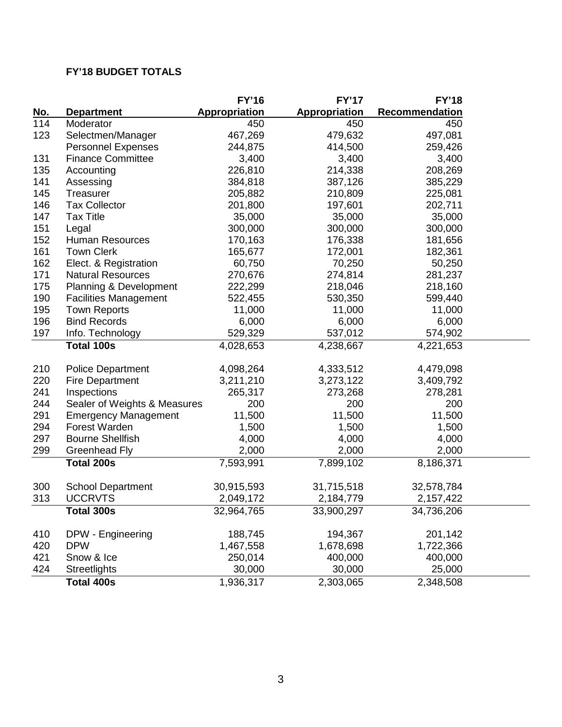# **FY'18 BUDGET TOTALS**

|            |                              | <b>FY'16</b>         | <b>FY'17</b>         | <b>FY'18</b>   |
|------------|------------------------------|----------------------|----------------------|----------------|
| <u>No.</u> | <b>Department</b>            | <b>Appropriation</b> | <b>Appropriation</b> | Recommendation |
| 114        | Moderator                    | 450                  | 450                  | 450            |
| 123        | Selectmen/Manager            | 467,269              | 479,632              | 497,081        |
|            | <b>Personnel Expenses</b>    | 244,875              | 414,500              | 259,426        |
| 131        | <b>Finance Committee</b>     | 3,400                | 3,400                | 3,400          |
| 135        | Accounting                   | 226,810              | 214,338              | 208,269        |
| 141        | Assessing                    | 384,818              | 387,126              | 385,229        |
| 145        | Treasurer                    | 205,882              | 210,809              | 225,081        |
| 146        | <b>Tax Collector</b>         | 201,800              | 197,601              | 202,711        |
| 147        | <b>Tax Title</b>             | 35,000               | 35,000               | 35,000         |
| 151        | Legal                        | 300,000              | 300,000              | 300,000        |
| 152        | <b>Human Resources</b>       | 170,163              | 176,338              | 181,656        |
| 161        | <b>Town Clerk</b>            | 165,677              | 172,001              | 182,361        |
| 162        | Elect. & Registration        | 60,750               | 70,250               | 50,250         |
| 171        | <b>Natural Resources</b>     | 270,676              | 274,814              | 281,237        |
| 175        | Planning & Development       | 222,299              | 218,046              | 218,160        |
| 190        | <b>Facilities Management</b> | 522,455              | 530,350              | 599,440        |
| 195        | <b>Town Reports</b>          | 11,000               | 11,000               | 11,000         |
| 196        | <b>Bind Records</b>          | 6,000                | 6,000                | 6,000          |
| 197        | Info. Technology             | 529,329              | 537,012              | 574,902        |
|            | Total 100s                   | 4,028,653            | 4,238,667            | 4,221,653      |
| 210        | <b>Police Department</b>     | 4,098,264            | 4,333,512            | 4,479,098      |
| 220        | <b>Fire Department</b>       | 3,211,210            | 3,273,122            | 3,409,792      |
| 241        | Inspections                  | 265,317              | 273,268              | 278,281        |
| 244        | Sealer of Weights & Measures | 200                  | 200                  | 200            |
| 291        | <b>Emergency Management</b>  | 11,500               | 11,500               | 11,500         |
| 294        | Forest Warden                | 1,500                | 1,500                | 1,500          |
| 297        | <b>Bourne Shellfish</b>      | 4,000                | 4,000                | 4,000          |
| 299        | <b>Greenhead Fly</b>         | 2,000                | 2,000                | 2,000          |
|            | Total 200s                   | 7,593,991            | 7,899,102            | 8,186,371      |
| 300        | <b>School Department</b>     | 30,915,593           | 31,715,518           | 32,578,784     |
| 313        | <b>UCCRVTS</b>               | 2,049,172            | 2,184,779            | 2,157,422      |
|            | Total 300s                   | 32,964,765           | 33,900,297           | 34,736,206     |
| 410        | DPW - Engineering            | 188,745              | 194,367              | 201,142        |
| 420        | <b>DPW</b>                   | 1,467,558            | 1,678,698            | 1,722,366      |
| 421        | Snow & Ice                   | 250,014              | 400,000              | 400,000        |
| 424        | <b>Streetlights</b>          | 30,000               | 30,000               | 25,000         |
|            | <b>Total 400s</b>            | 1,936,317            | 2,303,065            | 2,348,508      |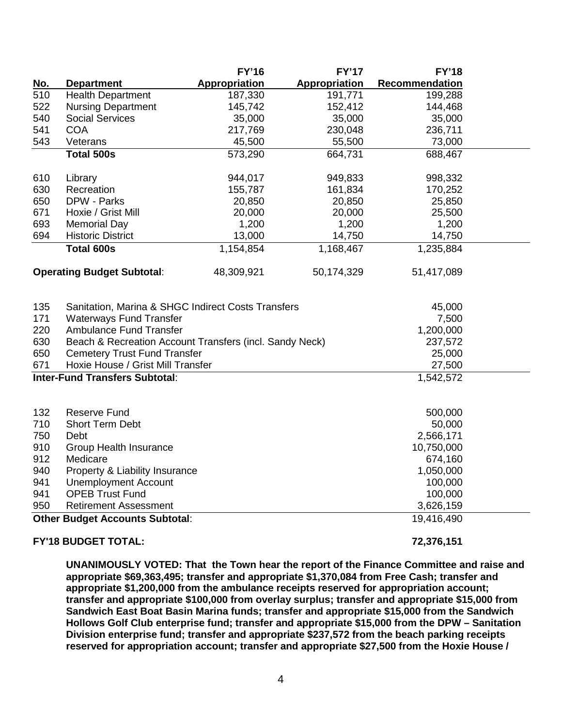|     |                                                              | <b>FY'16</b>  | <b>FY'17</b>  | <b>FY'18</b>          |  |
|-----|--------------------------------------------------------------|---------------|---------------|-----------------------|--|
| No. | <b>Department</b>                                            | Appropriation | Appropriation | <b>Recommendation</b> |  |
| 510 | <b>Health Department</b>                                     | 187,330       | 191,771       | 199,288               |  |
| 522 | <b>Nursing Department</b>                                    | 145,742       | 152,412       | 144,468               |  |
| 540 | <b>Social Services</b>                                       | 35,000        | 35,000        | 35,000                |  |
| 541 | <b>COA</b>                                                   | 217,769       | 230,048       | 236,711               |  |
| 543 | Veterans                                                     | 45,500        | 55,500        | 73,000                |  |
|     | Total 500s                                                   | 573,290       | 664,731       | 688,467               |  |
| 610 | Library                                                      | 944,017       | 949,833       | 998,332               |  |
| 630 | Recreation                                                   | 155,787       | 161,834       | 170,252               |  |
| 650 | DPW - Parks                                                  | 20,850        | 20,850        | 25,850                |  |
| 671 | Hoxie / Grist Mill                                           | 20,000        | 20,000        | 25,500                |  |
| 693 | <b>Memorial Day</b>                                          | 1,200         | 1,200         | 1,200                 |  |
| 694 | <b>Historic District</b>                                     | 13,000        | 14,750        | 14,750                |  |
|     | <b>Total 600s</b>                                            | 1,154,854     | 1,168,467     | 1,235,884             |  |
|     | <b>Operating Budget Subtotal:</b>                            | 48,309,921    | 50,174,329    | 51,417,089            |  |
| 135 | Sanitation, Marina & SHGC Indirect Costs Transfers<br>45,000 |               |               |                       |  |
| 171 | <b>Waterways Fund Transfer</b>                               |               |               | 7,500                 |  |
| 220 | <b>Ambulance Fund Transfer</b>                               | 1,200,000     |               |                       |  |
| 630 | Beach & Recreation Account Transfers (incl. Sandy Neck)      |               |               | 237,572               |  |
| 650 | <b>Cemetery Trust Fund Transfer</b>                          |               |               | 25,000                |  |
| 671 | Hoxie House / Grist Mill Transfer<br>27,500                  |               |               |                       |  |
|     | <b>Inter-Fund Transfers Subtotal:</b>                        |               |               | 1,542,572             |  |
|     |                                                              |               |               |                       |  |
| 132 | <b>Reserve Fund</b>                                          |               |               | 500,000               |  |
| 710 | Short Term Debt                                              |               |               | 50,000                |  |
| 750 | Debt                                                         |               |               | 2,566,171             |  |
| 910 | <b>Group Health Insurance</b>                                |               |               | 10,750,000            |  |
| 912 | Medicare                                                     |               |               | 674,160               |  |
| 940 | Property & Liability Insurance                               |               |               | 1,050,000             |  |
| 941 | <b>Unemployment Account</b>                                  |               |               | 100,000               |  |
| 941 | <b>OPEB Trust Fund</b>                                       |               |               | 100,000               |  |
| 950 | <b>Retirement Assessment</b>                                 |               |               | 3,626,159             |  |
|     | Other Budget Accounts Subtotal:                              |               |               | 19,416,490            |  |

## **FY'18 BUDGET TOTAL: 72,376,151**

**UNANIMOUSLY VOTED: That the Town hear the report of the Finance Committee and raise and appropriate \$69,363,495; transfer and appropriate \$1,370,084 from Free Cash; transfer and appropriate \$1,200,000 from the ambulance receipts reserved for appropriation account; transfer and appropriate \$100,000 from overlay surplus; transfer and appropriate \$15,000 from Sandwich East Boat Basin Marina funds; transfer and appropriate \$15,000 from the Sandwich Hollows Golf Club enterprise fund; transfer and appropriate \$15,000 from the DPW – Sanitation Division enterprise fund; transfer and appropriate \$237,572 from the beach parking receipts reserved for appropriation account; transfer and appropriate \$27,500 from the Hoxie House /**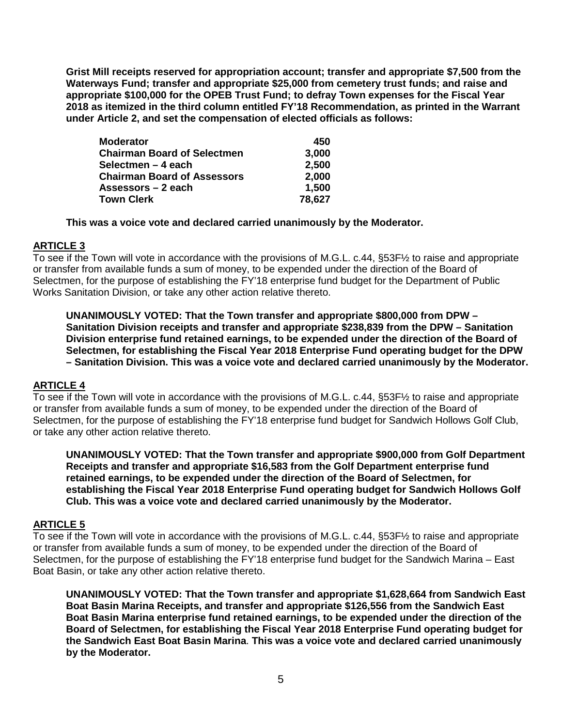**Grist Mill receipts reserved for appropriation account; transfer and appropriate \$7,500 from the Waterways Fund; transfer and appropriate \$25,000 from cemetery trust funds; and raise and appropriate \$100,000 for the OPEB Trust Fund; to defray Town expenses for the Fiscal Year 2018 as itemized in the third column entitled FY'18 Recommendation, as printed in the Warrant under Article 2, and set the compensation of elected officials as follows:**

| <b>Moderator</b>                   | 450    |
|------------------------------------|--------|
| <b>Chairman Board of Selectmen</b> | 3,000  |
| Selectmen – 4 each                 | 2,500  |
| <b>Chairman Board of Assessors</b> | 2,000  |
| Assessors - 2 each                 | 1,500  |
| <b>Town Clerk</b>                  | 78,627 |

**This was a voice vote and declared carried unanimously by the Moderator.**

## **ARTICLE 3**

To see if the Town will vote in accordance with the provisions of M.G.L. c.44, §53F½ to raise and appropriate or transfer from available funds a sum of money, to be expended under the direction of the Board of Selectmen, for the purpose of establishing the FY'18 enterprise fund budget for the Department of Public Works Sanitation Division, or take any other action relative thereto.

**UNANIMOUSLY VOTED: That the Town transfer and appropriate \$800,000 from DPW – Sanitation Division receipts and transfer and appropriate \$238,839 from the DPW – Sanitation Division enterprise fund retained earnings, to be expended under the direction of the Board of Selectmen, for establishing the Fiscal Year 2018 Enterprise Fund operating budget for the DPW – Sanitation Division. This was a voice vote and declared carried unanimously by the Moderator.**

## **ARTICLE 4**

To see if the Town will vote in accordance with the provisions of M.G.L. c.44, §53F½ to raise and appropriate or transfer from available funds a sum of money, to be expended under the direction of the Board of Selectmen, for the purpose of establishing the FY'18 enterprise fund budget for Sandwich Hollows Golf Club, or take any other action relative thereto.

**UNANIMOUSLY VOTED: That the Town transfer and appropriate \$900,000 from Golf Department Receipts and transfer and appropriate \$16,583 from the Golf Department enterprise fund retained earnings, to be expended under the direction of the Board of Selectmen, for establishing the Fiscal Year 2018 Enterprise Fund operating budget for Sandwich Hollows Golf Club. This was a voice vote and declared carried unanimously by the Moderator.**

## **ARTICLE 5**

To see if the Town will vote in accordance with the provisions of M.G.L. c.44, §53F½ to raise and appropriate or transfer from available funds a sum of money, to be expended under the direction of the Board of Selectmen, for the purpose of establishing the FY'18 enterprise fund budget for the Sandwich Marina – East Boat Basin, or take any other action relative thereto.

**UNANIMOUSLY VOTED: That the Town transfer and appropriate \$1,628,664 from Sandwich East Boat Basin Marina Receipts, and transfer and appropriate \$126,556 from the Sandwich East Boat Basin Marina enterprise fund retained earnings, to be expended under the direction of the Board of Selectmen, for establishing the Fiscal Year 2018 Enterprise Fund operating budget for the Sandwich East Boat Basin Marina**. **This was a voice vote and declared carried unanimously by the Moderator.**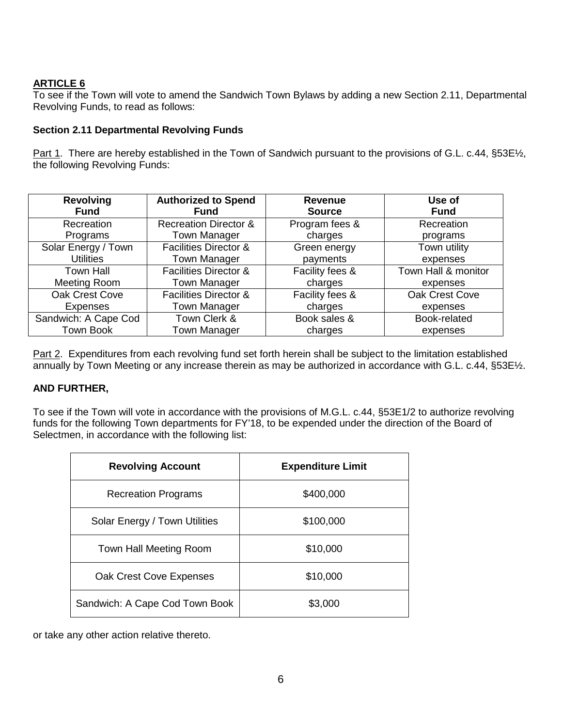# **ARTICLE 6**

To see if the Town will vote to amend the Sandwich Town Bylaws by adding a new Section 2.11, Departmental Revolving Funds, to read as follows:

## **Section 2.11 Departmental Revolving Funds**

Part 1. There are hereby established in the Town of Sandwich pursuant to the provisions of G.L. c.44, §53E1/<sub>2</sub>, the following Revolving Funds:

| <b>Revolving</b>     | <b>Authorized to Spend</b>       | <b>Revenue</b>  | Use of              |
|----------------------|----------------------------------|-----------------|---------------------|
| <b>Fund</b>          | <b>Fund</b>                      | <b>Source</b>   | <b>Fund</b>         |
| Recreation           | <b>Recreation Director &amp;</b> | Program fees &  | Recreation          |
| Programs             | <b>Town Manager</b>              | charges         | programs            |
| Solar Energy / Town  | <b>Facilities Director &amp;</b> | Green energy    | Town utility        |
| <b>Utilities</b>     | <b>Town Manager</b>              | payments        | expenses            |
| <b>Town Hall</b>     | <b>Facilities Director &amp;</b> | Facility fees & | Town Hall & monitor |
| Meeting Room         | <b>Town Manager</b>              | charges         | expenses            |
| Oak Crest Cove       | <b>Facilities Director &amp;</b> | Facility fees & | Oak Crest Cove      |
| <b>Expenses</b>      | Town Manager                     | charges         | expenses            |
| Sandwich: A Cape Cod | Town Clerk &                     | Book sales &    | Book-related        |
| Town Book            | <b>Town Manager</b>              | charges         | expenses            |

Part 2. Expenditures from each revolving fund set forth herein shall be subject to the limitation established annually by Town Meeting or any increase therein as may be authorized in accordance with G.L. c.44, §53E½.

## **AND FURTHER,**

To see if the Town will vote in accordance with the provisions of M.G.L. c.44, §53E1/2 to authorize revolving funds for the following Town departments for FY'18, to be expended under the direction of the Board of Selectmen, in accordance with the following list:

| <b>Revolving Account</b>       | <b>Expenditure Limit</b> |
|--------------------------------|--------------------------|
| <b>Recreation Programs</b>     | \$400,000                |
| Solar Energy / Town Utilities  | \$100,000                |
| Town Hall Meeting Room         | \$10,000                 |
| Oak Crest Cove Expenses        | \$10,000                 |
| Sandwich: A Cape Cod Town Book | \$3,000                  |

or take any other action relative thereto.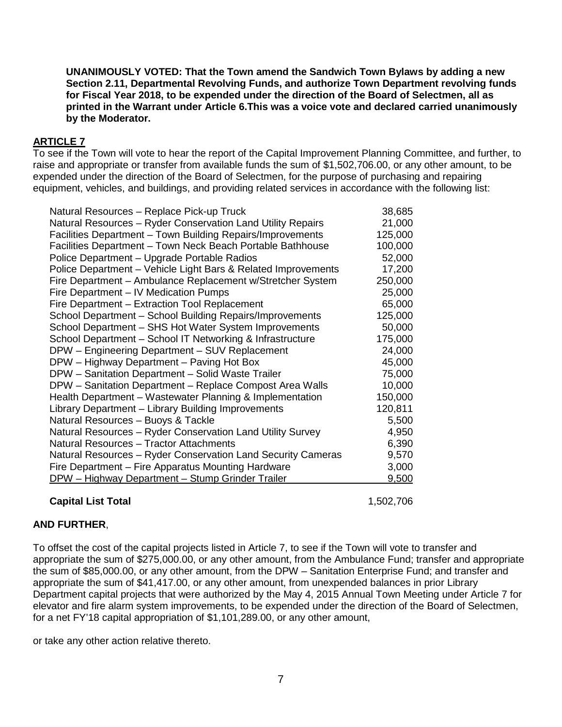**UNANIMOUSLY VOTED: That the Town amend the Sandwich Town Bylaws by adding a new Section 2.11, Departmental Revolving Funds, and authorize Town Department revolving funds for Fiscal Year 2018, to be expended under the direction of the Board of Selectmen, all as printed in the Warrant under Article 6.This was a voice vote and declared carried unanimously by the Moderator.**

### **ARTICLE 7**

To see if the Town will vote to hear the report of the Capital Improvement Planning Committee, and further, to raise and appropriate or transfer from available funds the sum of \$1,502,706.00, or any other amount, to be expended under the direction of the Board of Selectmen, for the purpose of purchasing and repairing equipment, vehicles, and buildings, and providing related services in accordance with the following list:

| Natural Resources - Replace Pick-up Truck                     | 38,685  |
|---------------------------------------------------------------|---------|
| Natural Resources - Ryder Conservation Land Utility Repairs   | 21,000  |
| Facilities Department - Town Building Repairs/Improvements    | 125,000 |
| Facilities Department - Town Neck Beach Portable Bathhouse    | 100,000 |
| Police Department - Upgrade Portable Radios                   | 52,000  |
| Police Department - Vehicle Light Bars & Related Improvements | 17,200  |
| Fire Department - Ambulance Replacement w/Stretcher System    | 250,000 |
| Fire Department – IV Medication Pumps                         | 25,000  |
| Fire Department - Extraction Tool Replacement                 | 65,000  |
| School Department - School Building Repairs/Improvements      | 125,000 |
| School Department - SHS Hot Water System Improvements         | 50,000  |
| School Department - School IT Networking & Infrastructure     | 175,000 |
| DPW - Engineering Department - SUV Replacement                | 24,000  |
| DPW - Highway Department - Paving Hot Box                     | 45,000  |
| DPW - Sanitation Department - Solid Waste Trailer             | 75,000  |
| DPW - Sanitation Department - Replace Compost Area Walls      | 10,000  |
| Health Department – Wastewater Planning & Implementation      | 150,000 |
| Library Department - Library Building Improvements            | 120,811 |
| Natural Resources - Buoys & Tackle                            | 5,500   |
| Natural Resources - Ryder Conservation Land Utility Survey    | 4,950   |
| Natural Resources - Tractor Attachments                       | 6,390   |
| Natural Resources - Ryder Conservation Land Security Cameras  | 9,570   |
| Fire Department – Fire Apparatus Mounting Hardware            | 3,000   |
| <b>DPW</b> - Highway Department - Stump Grinder Trailer       | 9,500   |

## **Capital List Total** 1,502,706

## **AND FURTHER**,

To offset the cost of the capital projects listed in Article 7, to see if the Town will vote to transfer and appropriate the sum of \$275,000.00, or any other amount, from the Ambulance Fund; transfer and appropriate the sum of \$85,000.00, or any other amount, from the DPW – Sanitation Enterprise Fund; and transfer and appropriate the sum of \$41,417.00, or any other amount, from unexpended balances in prior Library Department capital projects that were authorized by the May 4, 2015 Annual Town Meeting under Article 7 for elevator and fire alarm system improvements, to be expended under the direction of the Board of Selectmen, for a net FY'18 capital appropriation of \$1,101,289.00, or any other amount,

or take any other action relative thereto.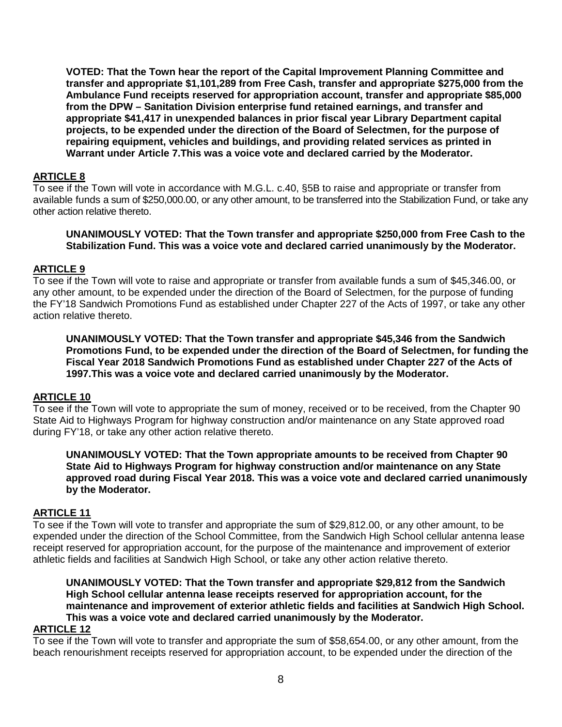**VOTED: That the Town hear the report of the Capital Improvement Planning Committee and transfer and appropriate \$1,101,289 from Free Cash, transfer and appropriate \$275,000 from the Ambulance Fund receipts reserved for appropriation account, transfer and appropriate \$85,000 from the DPW – Sanitation Division enterprise fund retained earnings, and transfer and appropriate \$41,417 in unexpended balances in prior fiscal year Library Department capital projects, to be expended under the direction of the Board of Selectmen, for the purpose of repairing equipment, vehicles and buildings, and providing related services as printed in Warrant under Article 7.This was a voice vote and declared carried by the Moderator.**

## **ARTICLE 8**

To see if the Town will vote in accordance with M.G.L. c.40, §5B to raise and appropriate or transfer from available funds a sum of \$250,000.00, or any other amount, to be transferred into the Stabilization Fund, or take any other action relative thereto.

### **UNANIMOUSLY VOTED: That the Town transfer and appropriate \$250,000 from Free Cash to the Stabilization Fund. This was a voice vote and declared carried unanimously by the Moderator.**

### **ARTICLE 9**

To see if the Town will vote to raise and appropriate or transfer from available funds a sum of \$45,346.00, or any other amount, to be expended under the direction of the Board of Selectmen, for the purpose of funding the FY'18 Sandwich Promotions Fund as established under Chapter 227 of the Acts of 1997, or take any other action relative thereto.

**UNANIMOUSLY VOTED: That the Town transfer and appropriate \$45,346 from the Sandwich Promotions Fund, to be expended under the direction of the Board of Selectmen, for funding the Fiscal Year 2018 Sandwich Promotions Fund as established under Chapter 227 of the Acts of 1997.This was a voice vote and declared carried unanimously by the Moderator.**

### **ARTICLE 10**

To see if the Town will vote to appropriate the sum of money, received or to be received, from the Chapter 90 State Aid to Highways Program for highway construction and/or maintenance on any State approved road during FY'18, or take any other action relative thereto.

**UNANIMOUSLY VOTED: That the Town appropriate amounts to be received from Chapter 90 State Aid to Highways Program for highway construction and/or maintenance on any State approved road during Fiscal Year 2018. This was a voice vote and declared carried unanimously by the Moderator.**

### **ARTICLE 11**

To see if the Town will vote to transfer and appropriate the sum of \$29,812.00, or any other amount, to be expended under the direction of the School Committee, from the Sandwich High School cellular antenna lease receipt reserved for appropriation account, for the purpose of the maintenance and improvement of exterior athletic fields and facilities at Sandwich High School, or take any other action relative thereto.

**UNANIMOUSLY VOTED: That the Town transfer and appropriate \$29,812 from the Sandwich High School cellular antenna lease receipts reserved for appropriation account, for the maintenance and improvement of exterior athletic fields and facilities at Sandwich High School. This was a voice vote and declared carried unanimously by the Moderator.**

### **ARTICLE 12**

To see if the Town will vote to transfer and appropriate the sum of \$58,654.00, or any other amount, from the beach renourishment receipts reserved for appropriation account, to be expended under the direction of the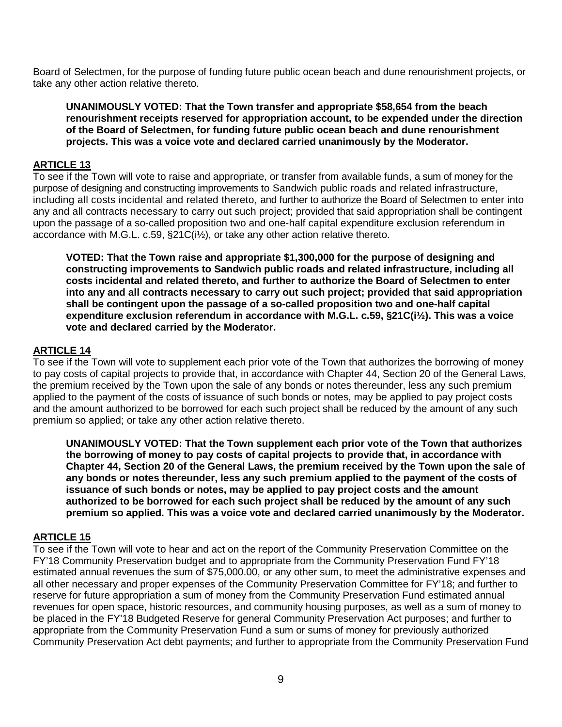Board of Selectmen, for the purpose of funding future public ocean beach and dune renourishment projects, or take any other action relative thereto.

**UNANIMOUSLY VOTED: That the Town transfer and appropriate \$58,654 from the beach renourishment receipts reserved for appropriation account, to be expended under the direction of the Board of Selectmen, for funding future public ocean beach and dune renourishment projects. This was a voice vote and declared carried unanimously by the Moderator.**

## **ARTICLE 13**

To see if the Town will vote to raise and appropriate, or transfer from available funds, a sum of money for the purpose of designing and constructing improvements to Sandwich public roads and related infrastructure, including all costs incidental and related thereto, and further to authorize the Board of Selectmen to enter into any and all contracts necessary to carry out such project; provided that said appropriation shall be contingent upon the passage of a so-called proposition two and one-half capital expenditure exclusion referendum in accordance with M.G.L. c.59,  $\S21C(i\frac{1}{2})$ , or take any other action relative thereto.

**VOTED: That the Town raise and appropriate \$1,300,000 for the purpose of designing and constructing improvements to Sandwich public roads and related infrastructure, including all costs incidental and related thereto, and further to authorize the Board of Selectmen to enter into any and all contracts necessary to carry out such project; provided that said appropriation shall be contingent upon the passage of a so-called proposition two and one-half capital expenditure exclusion referendum in accordance with M.G.L. c.59, §21C(i½). This was a voice vote and declared carried by the Moderator.**

### **ARTICLE 14**

To see if the Town will vote to supplement each prior vote of the Town that authorizes the borrowing of money to pay costs of capital projects to provide that, in accordance with Chapter 44, Section 20 of the General Laws, the premium received by the Town upon the sale of any bonds or notes thereunder, less any such premium applied to the payment of the costs of issuance of such bonds or notes, may be applied to pay project costs and the amount authorized to be borrowed for each such project shall be reduced by the amount of any such premium so applied; or take any other action relative thereto.

**UNANIMOUSLY VOTED: That the Town supplement each prior vote of the Town that authorizes the borrowing of money to pay costs of capital projects to provide that, in accordance with Chapter 44, Section 20 of the General Laws, the premium received by the Town upon the sale of any bonds or notes thereunder, less any such premium applied to the payment of the costs of issuance of such bonds or notes, may be applied to pay project costs and the amount authorized to be borrowed for each such project shall be reduced by the amount of any such premium so applied. This was a voice vote and declared carried unanimously by the Moderator.**

## **ARTICLE 15**

To see if the Town will vote to hear and act on the report of the Community Preservation Committee on the FY'18 Community Preservation budget and to appropriate from the Community Preservation Fund FY'18 estimated annual revenues the sum of \$75,000.00, or any other sum, to meet the administrative expenses and all other necessary and proper expenses of the Community Preservation Committee for FY'18; and further to reserve for future appropriation a sum of money from the Community Preservation Fund estimated annual revenues for open space, historic resources, and community housing purposes, as well as a sum of money to be placed in the FY'18 Budgeted Reserve for general Community Preservation Act purposes; and further to appropriate from the Community Preservation Fund a sum or sums of money for previously authorized Community Preservation Act debt payments; and further to appropriate from the Community Preservation Fund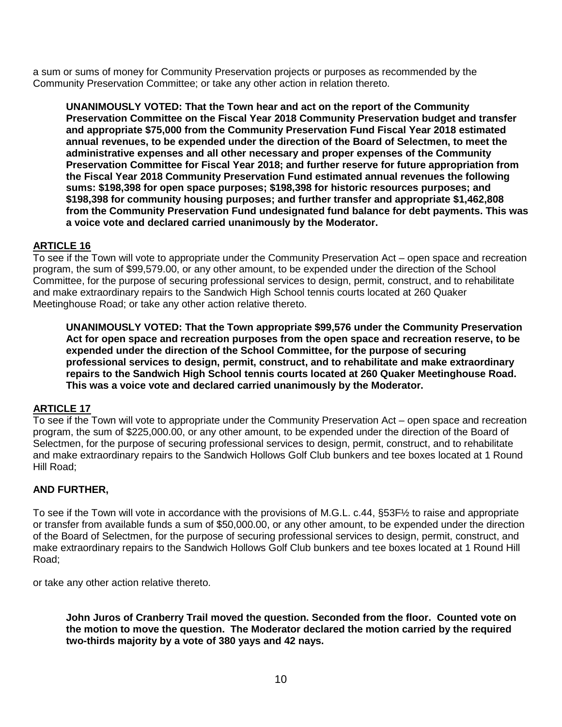a sum or sums of money for Community Preservation projects or purposes as recommended by the Community Preservation Committee; or take any other action in relation thereto.

**UNANIMOUSLY VOTED: That the Town hear and act on the report of the Community Preservation Committee on the Fiscal Year 2018 Community Preservation budget and transfer and appropriate \$75,000 from the Community Preservation Fund Fiscal Year 2018 estimated annual revenues, to be expended under the direction of the Board of Selectmen, to meet the administrative expenses and all other necessary and proper expenses of the Community Preservation Committee for Fiscal Year 2018; and further reserve for future appropriation from the Fiscal Year 2018 Community Preservation Fund estimated annual revenues the following sums: \$198,398 for open space purposes; \$198,398 for historic resources purposes; and \$198,398 for community housing purposes; and further transfer and appropriate \$1,462,808 from the Community Preservation Fund undesignated fund balance for debt payments. This was a voice vote and declared carried unanimously by the Moderator.**

## **ARTICLE 16**

To see if the Town will vote to appropriate under the Community Preservation Act – open space and recreation program, the sum of \$99,579.00, or any other amount, to be expended under the direction of the School Committee, for the purpose of securing professional services to design, permit, construct, and to rehabilitate and make extraordinary repairs to the Sandwich High School tennis courts located at 260 Quaker Meetinghouse Road; or take any other action relative thereto.

**UNANIMOUSLY VOTED: That the Town appropriate \$99,576 under the Community Preservation Act for open space and recreation purposes from the open space and recreation reserve, to be expended under the direction of the School Committee, for the purpose of securing professional services to design, permit, construct, and to rehabilitate and make extraordinary repairs to the Sandwich High School tennis courts located at 260 Quaker Meetinghouse Road. This was a voice vote and declared carried unanimously by the Moderator.**

## **ARTICLE 17**

To see if the Town will vote to appropriate under the Community Preservation Act – open space and recreation program, the sum of \$225,000.00, or any other amount, to be expended under the direction of the Board of Selectmen, for the purpose of securing professional services to design, permit, construct, and to rehabilitate and make extraordinary repairs to the Sandwich Hollows Golf Club bunkers and tee boxes located at 1 Round Hill Road;

## **AND FURTHER,**

To see if the Town will vote in accordance with the provisions of M.G.L. c.44, §53F½ to raise and appropriate or transfer from available funds a sum of \$50,000.00, or any other amount, to be expended under the direction of the Board of Selectmen, for the purpose of securing professional services to design, permit, construct, and make extraordinary repairs to the Sandwich Hollows Golf Club bunkers and tee boxes located at 1 Round Hill Road;

or take any other action relative thereto.

**John Juros of Cranberry Trail moved the question. Seconded from the floor. Counted vote on the motion to move the question. The Moderator declared the motion carried by the required two-thirds majority by a vote of 380 yays and 42 nays.**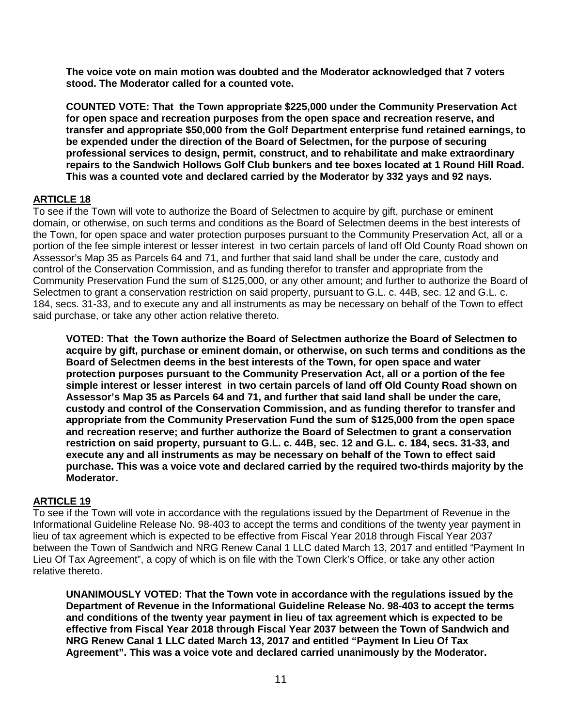**The voice vote on main motion was doubted and the Moderator acknowledged that 7 voters stood. The Moderator called for a counted vote.**

**COUNTED VOTE: That the Town appropriate \$225,000 under the Community Preservation Act for open space and recreation purposes from the open space and recreation reserve, and transfer and appropriate \$50,000 from the Golf Department enterprise fund retained earnings, to be expended under the direction of the Board of Selectmen, for the purpose of securing professional services to design, permit, construct, and to rehabilitate and make extraordinary repairs to the Sandwich Hollows Golf Club bunkers and tee boxes located at 1 Round Hill Road. This was a counted vote and declared carried by the Moderator by 332 yays and 92 nays.** 

## **ARTICLE 18**

To see if the Town will vote to authorize the Board of Selectmen to acquire by gift, purchase or eminent domain, or otherwise, on such terms and conditions as the Board of Selectmen deems in the best interests of the Town, for open space and water protection purposes pursuant to the Community Preservation Act, all or a portion of the fee simple interest or lesser interest in two certain parcels of land off Old County Road shown on Assessor's Map 35 as Parcels 64 and 71, and further that said land shall be under the care, custody and control of the Conservation Commission, and as funding therefor to transfer and appropriate from the Community Preservation Fund the sum of \$125,000, or any other amount; and further to authorize the Board of Selectmen to grant a conservation restriction on said property, pursuant to G.L. c. 44B, sec. 12 and G.L. c. 184, secs. 31-33, and to execute any and all instruments as may be necessary on behalf of the Town to effect said purchase, or take any other action relative thereto.

**VOTED: That the Town authorize the Board of Selectmen authorize the Board of Selectmen to acquire by gift, purchase or eminent domain, or otherwise, on such terms and conditions as the Board of Selectmen deems in the best interests of the Town, for open space and water protection purposes pursuant to the Community Preservation Act, all or a portion of the fee simple interest or lesser interest in two certain parcels of land off Old County Road shown on Assessor's Map 35 as Parcels 64 and 71, and further that said land shall be under the care, custody and control of the Conservation Commission, and as funding therefor to transfer and appropriate from the Community Preservation Fund the sum of \$125,000 from the open space and recreation reserve; and further authorize the Board of Selectmen to grant a conservation restriction on said property, pursuant to G.L. c. 44B, sec. 12 and G.L. c. 184, secs. 31-33, and execute any and all instruments as may be necessary on behalf of the Town to effect said purchase. This was a voice vote and declared carried by the required two-thirds majority by the Moderator.**

## **ARTICLE 19**

To see if the Town will vote in accordance with the regulations issued by the Department of Revenue in the Informational Guideline Release No. 98-403 to accept the terms and conditions of the twenty year payment in lieu of tax agreement which is expected to be effective from Fiscal Year 2018 through Fiscal Year 2037 between the Town of Sandwich and NRG Renew Canal 1 LLC dated March 13, 2017 and entitled "Payment In Lieu Of Tax Agreement", a copy of which is on file with the Town Clerk's Office, or take any other action relative thereto.

**UNANIMOUSLY VOTED: That the Town vote in accordance with the regulations issued by the Department of Revenue in the Informational Guideline Release No. 98-403 to accept the terms and conditions of the twenty year payment in lieu of tax agreement which is expected to be effective from Fiscal Year 2018 through Fiscal Year 2037 between the Town of Sandwich and NRG Renew Canal 1 LLC dated March 13, 2017 and entitled "Payment In Lieu Of Tax Agreement". This was a voice vote and declared carried unanimously by the Moderator.**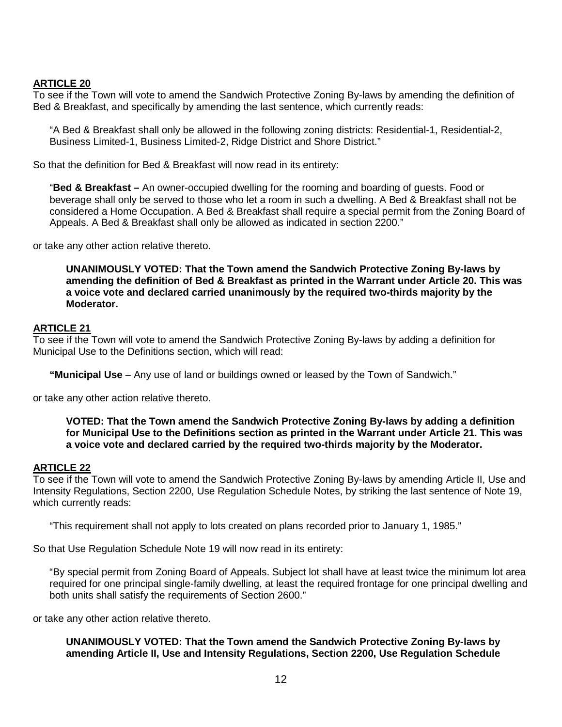## **ARTICLE 20**

To see if the Town will vote to amend the Sandwich Protective Zoning By-laws by amending the definition of Bed & Breakfast, and specifically by amending the last sentence, which currently reads:

"A Bed & Breakfast shall only be allowed in the following zoning districts: Residential-1, Residential-2, Business Limited-1, Business Limited-2, Ridge District and Shore District."

So that the definition for Bed & Breakfast will now read in its entirety:

"**Bed & Breakfast –** An owner-occupied dwelling for the rooming and boarding of guests. Food or beverage shall only be served to those who let a room in such a dwelling. A Bed & Breakfast shall not be considered a Home Occupation. A Bed & Breakfast shall require a special permit from the Zoning Board of Appeals. A Bed & Breakfast shall only be allowed as indicated in section 2200."

or take any other action relative thereto.

**UNANIMOUSLY VOTED: That the Town amend the Sandwich Protective Zoning By-laws by amending the definition of Bed & Breakfast as printed in the Warrant under Article 20. This was a voice vote and declared carried unanimously by the required two-thirds majority by the Moderator.**

## **ARTICLE 21**

To see if the Town will vote to amend the Sandwich Protective Zoning By-laws by adding a definition for Municipal Use to the Definitions section, which will read:

**"Municipal Use** – Any use of land or buildings owned or leased by the Town of Sandwich."

or take any other action relative thereto.

**VOTED: That the Town amend the Sandwich Protective Zoning By-laws by adding a definition for Municipal Use to the Definitions section as printed in the Warrant under Article 21. This was a voice vote and declared carried by the required two-thirds majority by the Moderator.**

### **ARTICLE 22**

To see if the Town will vote to amend the Sandwich Protective Zoning By-laws by amending Article II, Use and Intensity Regulations, Section 2200, Use Regulation Schedule Notes, by striking the last sentence of Note 19, which currently reads:

"This requirement shall not apply to lots created on plans recorded prior to January 1, 1985."

So that Use Regulation Schedule Note 19 will now read in its entirety:

"By special permit from Zoning Board of Appeals. Subject lot shall have at least twice the minimum lot area required for one principal single-family dwelling, at least the required frontage for one principal dwelling and both units shall satisfy the requirements of Section 2600."

or take any other action relative thereto.

## **UNANIMOUSLY VOTED: That the Town amend the Sandwich Protective Zoning By-laws by amending Article II, Use and Intensity Regulations, Section 2200, Use Regulation Schedule**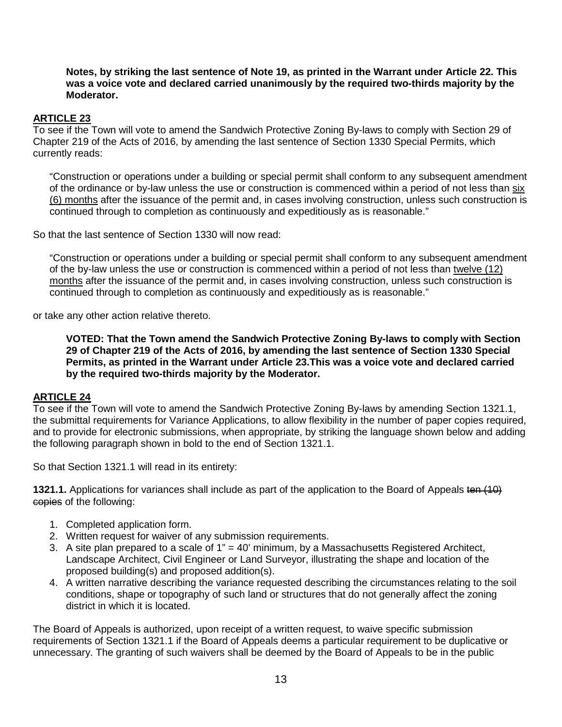### **Notes, by striking the last sentence of Note 19, as printed in the Warrant under Article 22. This was a voice vote and declared carried unanimously by the required two-thirds majority by the Moderator.**

### **ARTICLE 23**

To see if the Town will vote to amend the Sandwich Protective Zoning By-laws to comply with Section 29 of Chapter 219 of the Acts of 2016, by amending the last sentence of Section 1330 Special Permits, which currently reads:

"Construction or operations under a building or special permit shall conform to any subsequent amendment of the ordinance or by-law unless the use or construction is commenced within a period of not less than six (6) months after the issuance of the permit and, in cases involving construction, unless such construction is continued through to completion as continuously and expeditiously as is reasonable."

So that the last sentence of Section 1330 will now read:

"Construction or operations under a building or special permit shall conform to any subsequent amendment of the by-law unless the use or construction is commenced within a period of not less than twelve (12) months after the issuance of the permit and, in cases involving construction, unless such construction is continued through to completion as continuously and expeditiously as is reasonable."

or take any other action relative thereto.

**VOTED: That the Town amend the Sandwich Protective Zoning By-laws to comply with Section 29 of Chapter 219 of the Acts of 2016, by amending the last sentence of Section 1330 Special Permits, as printed in the Warrant under Article 23.This was a voice vote and declared carried by the required two-thirds majority by the Moderator.**

### **ARTICLE 24**

To see if the Town will vote to amend the Sandwich Protective Zoning By-laws by amending Section 1321.1, the submittal requirements for Variance Applications, to allow flexibility in the number of paper copies required, and to provide for electronic submissions, when appropriate, by striking the language shown below and adding the following paragraph shown in bold to the end of Section 1321.1.

So that Section 1321.1 will read in its entirety:

**1321.1.** Applications for variances shall include as part of the application to the Board of Appeals ten (10) copies of the following:

- 1. Completed application form.
- 2. Written request for waiver of any submission requirements.
- 3. A site plan prepared to a scale of  $1" = 40'$  minimum, by a Massachusetts Registered Architect, Landscape Architect, Civil Engineer or Land Surveyor, illustrating the shape and location of the proposed building(s) and proposed addition(s).
- 4. A written narrative describing the variance requested describing the circumstances relating to the soil conditions, shape or topography of such land or structures that do not generally affect the zoning district in which it is located.

The Board of Appeals is authorized, upon receipt of a written request, to waive specific submission requirements of Section 1321.1 if the Board of Appeals deems a particular requirement to be duplicative or unnecessary. The granting of such waivers shall be deemed by the Board of Appeals to be in the public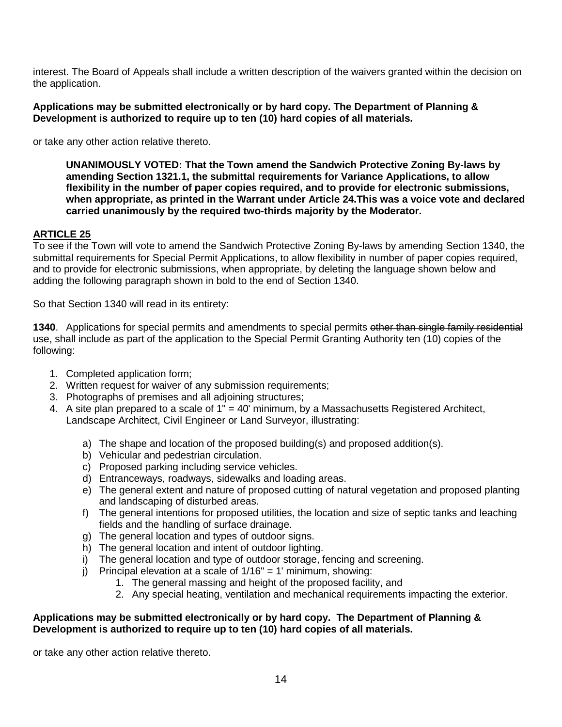interest. The Board of Appeals shall include a written description of the waivers granted within the decision on the application.

## **Applications may be submitted electronically or by hard copy. The Department of Planning & Development is authorized to require up to ten (10) hard copies of all materials.**

or take any other action relative thereto.

**UNANIMOUSLY VOTED: That the Town amend the Sandwich Protective Zoning By-laws by amending Section 1321.1, the submittal requirements for Variance Applications, to allow flexibility in the number of paper copies required, and to provide for electronic submissions, when appropriate, as printed in the Warrant under Article 24.This was a voice vote and declared carried unanimously by the required two-thirds majority by the Moderator.**

## **ARTICLE 25**

To see if the Town will vote to amend the Sandwich Protective Zoning By-laws by amending Section 1340, the submittal requirements for Special Permit Applications, to allow flexibility in number of paper copies required, and to provide for electronic submissions, when appropriate, by deleting the language shown below and adding the following paragraph shown in bold to the end of Section 1340.

So that Section 1340 will read in its entirety:

**1340**. Applications for special permits and amendments to special permits other than single family residential use, shall include as part of the application to the Special Permit Granting Authority ten (10) copies of the following:

- 1. Completed application form;
- 2. Written request for waiver of any submission requirements;
- 3. Photographs of premises and all adjoining structures;
- 4. A site plan prepared to a scale of 1" = 40' minimum, by a Massachusetts Registered Architect, Landscape Architect, Civil Engineer or Land Surveyor, illustrating:
	- a) The shape and location of the proposed building(s) and proposed addition(s).
	- b) Vehicular and pedestrian circulation.
	- c) Proposed parking including service vehicles.
	- d) Entranceways, roadways, sidewalks and loading areas.
	- e) The general extent and nature of proposed cutting of natural vegetation and proposed planting and landscaping of disturbed areas.
	- f) The general intentions for proposed utilities, the location and size of septic tanks and leaching fields and the handling of surface drainage.
	- g) The general location and types of outdoor signs.
	- h) The general location and intent of outdoor lighting.
	- i) The general location and type of outdoor storage, fencing and screening.
	- j) Principal elevation at a scale of  $1/16" = 1'$  minimum, showing:
		- 1. The general massing and height of the proposed facility, and
		- 2. Any special heating, ventilation and mechanical requirements impacting the exterior.

### **Applications may be submitted electronically or by hard copy. The Department of Planning & Development is authorized to require up to ten (10) hard copies of all materials.**

or take any other action relative thereto.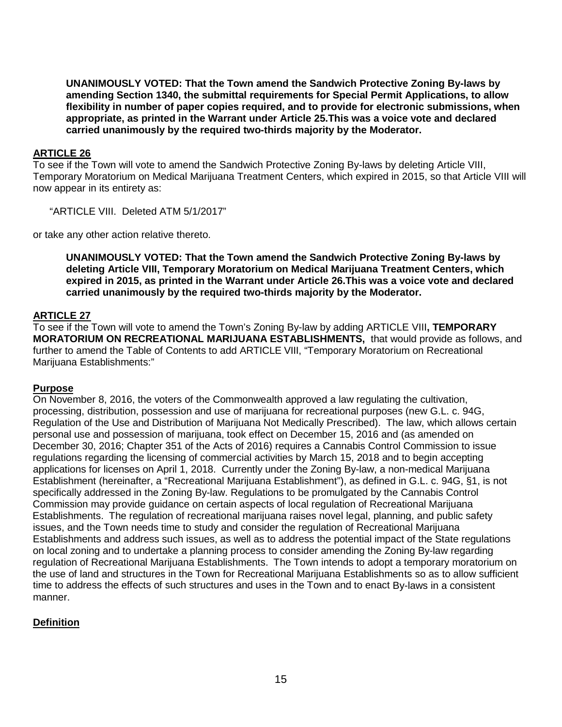**UNANIMOUSLY VOTED: That the Town amend the Sandwich Protective Zoning By-laws by amending Section 1340, the submittal requirements for Special Permit Applications, to allow flexibility in number of paper copies required, and to provide for electronic submissions, when appropriate, as printed in the Warrant under Article 25.This was a voice vote and declared carried unanimously by the required two-thirds majority by the Moderator.**

### **ARTICLE 26**

To see if the Town will vote to amend the Sandwich Protective Zoning By-laws by deleting Article VIII, Temporary Moratorium on Medical Marijuana Treatment Centers, which expired in 2015, so that Article VIII will now appear in its entirety as:

"ARTICLE VIII. Deleted ATM 5/1/2017"

or take any other action relative thereto.

**UNANIMOUSLY VOTED: That the Town amend the Sandwich Protective Zoning By-laws by deleting Article VIII, Temporary Moratorium on Medical Marijuana Treatment Centers, which expired in 2015, as printed in the Warrant under Article 26.This was a voice vote and declared carried unanimously by the required two-thirds majority by the Moderator.**

## **ARTICLE 27**

To see if the Town will vote to amend the Town's Zoning By-law by adding ARTICLE VIII**, TEMPORARY MORATORIUM ON RECREATIONAL MARIJUANA ESTABLISHMENTS,** that would provide as follows, and further to amend the Table of Contents to add ARTICLE VIII, "Temporary Moratorium on Recreational Marijuana Establishments:"

### **Purpose**

On November 8, 2016, the voters of the Commonwealth approved a law regulating the cultivation, processing, distribution, possession and use of marijuana for recreational purposes (new G.L. c. 94G, Regulation of the Use and Distribution of Marijuana Not Medically Prescribed). The law, which allows certain personal use and possession of marijuana, took effect on December 15, 2016 and (as amended on December 30, 2016; Chapter 351 of the Acts of 2016) requires a Cannabis Control Commission to issue regulations regarding the licensing of commercial activities by March 15, 2018 and to begin accepting applications for licenses on April 1, 2018. Currently under the Zoning By-law, a non-medical Marijuana Establishment (hereinafter, a "Recreational Marijuana Establishment"), as defined in G.L. c. 94G, §1, is not specifically addressed in the Zoning By-law. Regulations to be promulgated by the Cannabis Control Commission may provide guidance on certain aspects of local regulation of Recreational Marijuana Establishments. The regulation of recreational marijuana raises novel legal, planning, and public safety issues, and the Town needs time to study and consider the regulation of Recreational Marijuana Establishments and address such issues, as well as to address the potential impact of the State regulations on local zoning and to undertake a planning process to consider amending the Zoning By-law regarding regulation of Recreational Marijuana Establishments. The Town intends to adopt a temporary moratorium on the use of land and structures in the Town for Recreational Marijuana Establishments so as to allow sufficient time to address the effects of such structures and uses in the Town and to enact By-laws in a consistent manner.

### **Definition**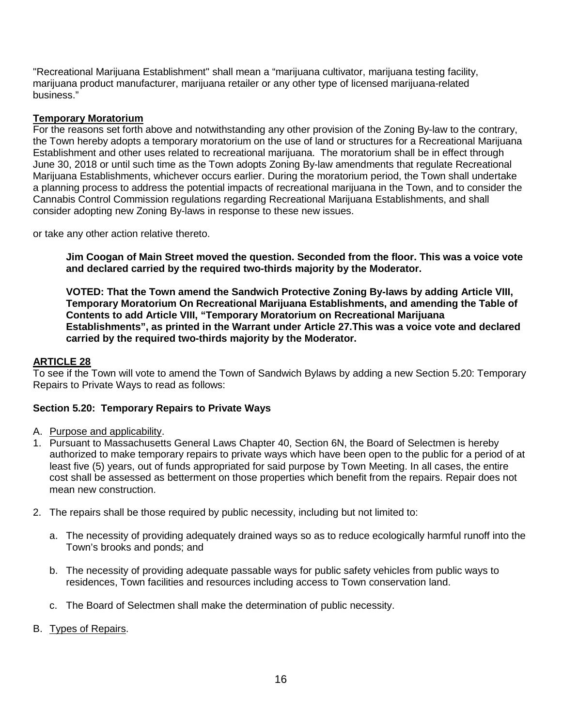"Recreational Marijuana Establishment" shall mean a "marijuana cultivator, marijuana testing facility, marijuana product manufacturer, marijuana retailer or any other type of licensed marijuana-related business."

## **Temporary Moratorium**

For the reasons set forth above and notwithstanding any other provision of the Zoning By-law to the contrary, the Town hereby adopts a temporary moratorium on the use of land or structures for a Recreational Marijuana Establishment and other uses related to recreational marijuana. The moratorium shall be in effect through June 30, 2018 or until such time as the Town adopts Zoning By-law amendments that regulate Recreational Marijuana Establishments, whichever occurs earlier. During the moratorium period, the Town shall undertake a planning process to address the potential impacts of recreational marijuana in the Town, and to consider the Cannabis Control Commission regulations regarding Recreational Marijuana Establishments, and shall consider adopting new Zoning By-laws in response to these new issues.

or take any other action relative thereto.

**Jim Coogan of Main Street moved the question. Seconded from the floor. This was a voice vote and declared carried by the required two-thirds majority by the Moderator.**

**VOTED: That the Town amend the Sandwich Protective Zoning By-laws by adding Article VIII, Temporary Moratorium On Recreational Marijuana Establishments, and amending the Table of Contents to add Article VIII, "Temporary Moratorium on Recreational Marijuana Establishments", as printed in the Warrant under Article 27.This was a voice vote and declared carried by the required two-thirds majority by the Moderator.**

## **ARTICLE 28**

To see if the Town will vote to amend the Town of Sandwich Bylaws by adding a new Section 5.20: Temporary Repairs to Private Ways to read as follows:

## **Section 5.20: Temporary Repairs to Private Ways**

### A. Purpose and applicability.

- 1. Pursuant to Massachusetts General Laws Chapter 40, Section 6N, the Board of Selectmen is hereby authorized to make temporary repairs to private ways which have been open to the public for a period of at least five (5) years, out of funds appropriated for said purpose by Town Meeting. In all cases, the entire cost shall be assessed as betterment on those properties which benefit from the repairs. Repair does not mean new construction.
- 2. The repairs shall be those required by public necessity, including but not limited to:
	- a. The necessity of providing adequately drained ways so as to reduce ecologically harmful runoff into the Town's brooks and ponds; and
	- b. The necessity of providing adequate passable ways for public safety vehicles from public ways to residences, Town facilities and resources including access to Town conservation land.
	- c. The Board of Selectmen shall make the determination of public necessity.
- B. Types of Repairs.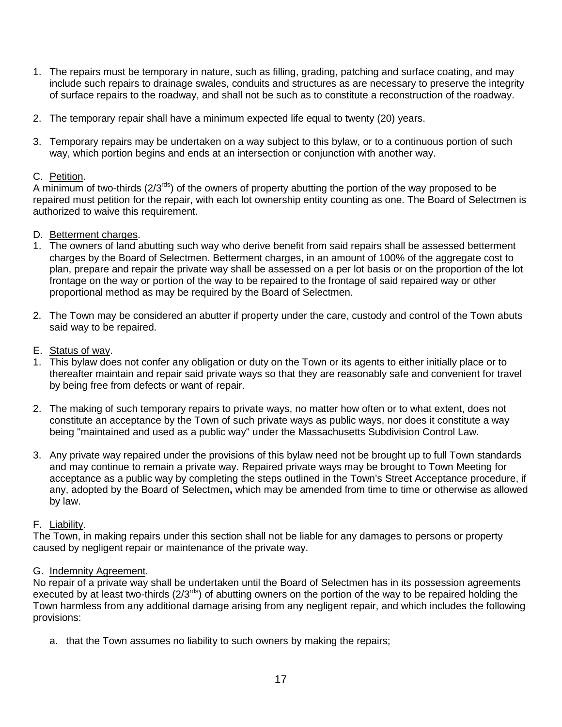- 1. The repairs must be temporary in nature, such as filling, grading, patching and surface coating, and may include such repairs to drainage swales, conduits and structures as are necessary to preserve the integrity of surface repairs to the roadway, and shall not be such as to constitute a reconstruction of the roadway.
- 2. The temporary repair shall have a minimum expected life equal to twenty (20) years.
- 3. Temporary repairs may be undertaken on a way subject to this bylaw, or to a continuous portion of such way, which portion begins and ends at an intersection or conjunction with another way.

## C. Petition.

A minimum of two-thirds ( $2/3^{rds}$ ) of the owners of property abutting the portion of the way proposed to be repaired must petition for the repair, with each lot ownership entity counting as one. The Board of Selectmen is authorized to waive this requirement.

- D. Betterment charges.
- 1. The owners of land abutting such way who derive benefit from said repairs shall be assessed betterment charges by the Board of Selectmen. Betterment charges, in an amount of 100% of the aggregate cost to plan, prepare and repair the private way shall be assessed on a per lot basis or on the proportion of the lot frontage on the way or portion of the way to be repaired to the frontage of said repaired way or other proportional method as may be required by the Board of Selectmen.
- 2. The Town may be considered an abutter if property under the care, custody and control of the Town abuts said way to be repaired.
- E. Status of way.
- 1. This bylaw does not confer any obligation or duty on the Town or its agents to either initially place or to thereafter maintain and repair said private ways so that they are reasonably safe and convenient for travel by being free from defects or want of repair.
- 2. The making of such temporary repairs to private ways, no matter how often or to what extent, does not constitute an acceptance by the Town of such private ways as public ways, nor does it constitute a way being "maintained and used as a public way" under the Massachusetts Subdivision Control Law.
- 3. Any private way repaired under the provisions of this bylaw need not be brought up to full Town standards and may continue to remain a private way. Repaired private ways may be brought to Town Meeting for acceptance as a public way by completing the steps outlined in the Town's Street Acceptance procedure, if any, adopted by the Board of Selectmen**,** which may be amended from time to time or otherwise as allowed by law.

## F. Liability.

The Town, in making repairs under this section shall not be liable for any damages to persons or property caused by negligent repair or maintenance of the private way.

## G. Indemnity Agreement.

No repair of a private way shall be undertaken until the Board of Selectmen has in its possession agreements executed by at least two-thirds (2/3<sup>rds</sup>) of abutting owners on the portion of the way to be repaired holding the Town harmless from any additional damage arising from any negligent repair, and which includes the following provisions:

a. that the Town assumes no liability to such owners by making the repairs;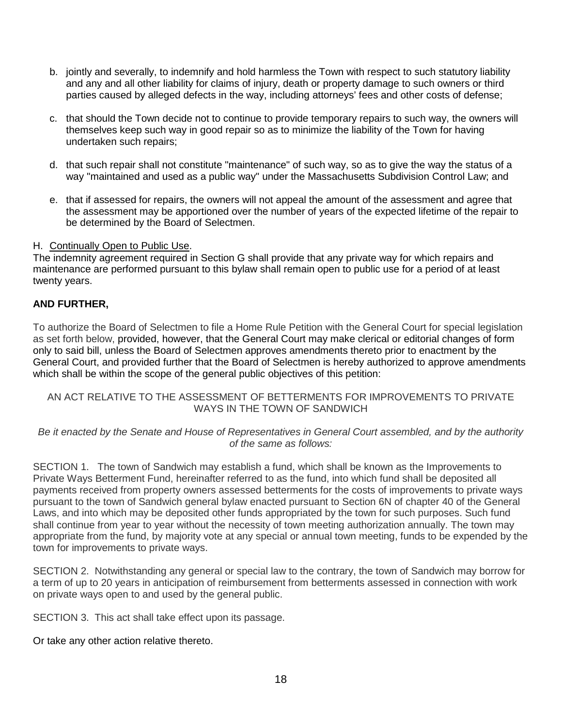- b. jointly and severally, to indemnify and hold harmless the Town with respect to such statutory liability and any and all other liability for claims of injury, death or property damage to such owners or third parties caused by alleged defects in the way, including attorneys' fees and other costs of defense;
- c. that should the Town decide not to continue to provide temporary repairs to such way, the owners will themselves keep such way in good repair so as to minimize the liability of the Town for having undertaken such repairs;
- d. that such repair shall not constitute "maintenance" of such way, so as to give the way the status of a way "maintained and used as a public way" under the Massachusetts Subdivision Control Law; and
- e. that if assessed for repairs, the owners will not appeal the amount of the assessment and agree that the assessment may be apportioned over the number of years of the expected lifetime of the repair to be determined by the Board of Selectmen.
- H. Continually Open to Public Use.

The indemnity agreement required in Section G shall provide that any private way for which repairs and maintenance are performed pursuant to this bylaw shall remain open to public use for a period of at least twenty years.

## **AND FURTHER,**

To authorize the Board of Selectmen to file a Home Rule Petition with the General Court for special legislation as set forth below, provided, however, that the General Court may make clerical or editorial changes of form only to said bill, unless the Board of Selectmen approves amendments thereto prior to enactment by the General Court, and provided further that the Board of Selectmen is hereby authorized to approve amendments which shall be within the scope of the general public objectives of this petition:

## AN ACT RELATIVE TO THE ASSESSMENT OF BETTERMENTS FOR IMPROVEMENTS TO PRIVATE WAYS IN THE TOWN OF SANDWICH

## *Be it enacted by the Senate and House of Representatives in General Court assembled, and by the authority of the same as follows:*

SECTION 1. The town of Sandwich may establish a fund, which shall be known as the Improvements to Private Ways Betterment Fund, hereinafter referred to as the fund, into which fund shall be deposited all payments received from property owners assessed betterments for the costs of improvements to private ways pursuant to the town of Sandwich general bylaw enacted pursuant to Section 6N of chapter 40 of the General Laws, and into which may be deposited other funds appropriated by the town for such purposes. Such fund shall continue from year to year without the necessity of town meeting authorization annually. The town may appropriate from the fund, by majority vote at any special or annual town meeting, funds to be expended by the town for improvements to private ways.

SECTION 2. Notwithstanding any general or special law to the contrary, the town of Sandwich may borrow for a term of up to 20 years in anticipation of reimbursement from betterments assessed in connection with work on private ways open to and used by the general public.

SECTION 3. This act shall take effect upon its passage.

## Or take any other action relative thereto.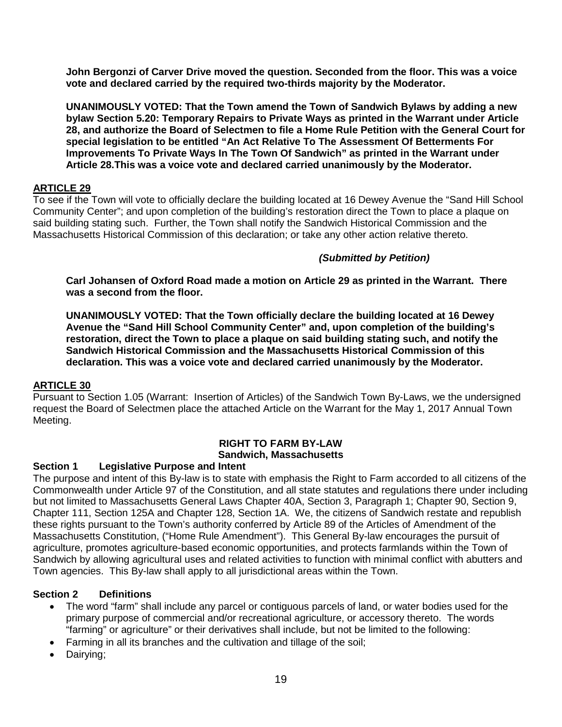**John Bergonzi of Carver Drive moved the question. Seconded from the floor. This was a voice vote and declared carried by the required two-thirds majority by the Moderator.**

**UNANIMOUSLY VOTED: That the Town amend the Town of Sandwich Bylaws by adding a new bylaw Section 5.20: Temporary Repairs to Private Ways as printed in the Warrant under Article 28, and authorize the Board of Selectmen to file a Home Rule Petition with the General Court for special legislation to be entitled "An Act Relative To The Assessment Of Betterments For Improvements To Private Ways In The Town Of Sandwich" as printed in the Warrant under Article 28.This was a voice vote and declared carried unanimously by the Moderator.**

## **ARTICLE 29**

To see if the Town will vote to officially declare the building located at 16 Dewey Avenue the "Sand Hill School Community Center"; and upon completion of the building's restoration direct the Town to place a plaque on said building stating such. Further, the Town shall notify the Sandwich Historical Commission and the Massachusetts Historical Commission of this declaration; or take any other action relative thereto.

## *(Submitted by Petition)*

**Carl Johansen of Oxford Road made a motion on Article 29 as printed in the Warrant. There was a second from the floor.** 

**UNANIMOUSLY VOTED: That the Town officially declare the building located at 16 Dewey Avenue the "Sand Hill School Community Center" and, upon completion of the building's restoration, direct the Town to place a plaque on said building stating such, and notify the Sandwich Historical Commission and the Massachusetts Historical Commission of this declaration. This was a voice vote and declared carried unanimously by the Moderator.**

## **ARTICLE 30**

Pursuant to Section 1.05 (Warrant: Insertion of Articles) of the Sandwich Town By-Laws, we the undersigned request the Board of Selectmen place the attached Article on the Warrant for the May 1, 2017 Annual Town Meeting.

### **RIGHT TO FARM BY-LAW Sandwich, Massachusetts**

## **Section 1 Legislative Purpose and Intent**

The purpose and intent of this By-law is to state with emphasis the Right to Farm accorded to all citizens of the Commonwealth under Article 97 of the Constitution, and all state statutes and regulations there under including but not limited to Massachusetts General Laws Chapter 40A, Section 3, Paragraph 1; Chapter 90, Section 9, Chapter 111, Section 125A and Chapter 128, Section 1A. We, the citizens of Sandwich restate and republish these rights pursuant to the Town's authority conferred by Article 89 of the Articles of Amendment of the Massachusetts Constitution, ("Home Rule Amendment"). This General By-law encourages the pursuit of agriculture, promotes agriculture-based economic opportunities, and protects farmlands within the Town of Sandwich by allowing agricultural uses and related activities to function with minimal conflict with abutters and Town agencies. This By-law shall apply to all jurisdictional areas within the Town.

## **Section 2 Definitions**

- The word "farm" shall include any parcel or contiguous parcels of land, or water bodies used for the primary purpose of commercial and/or recreational agriculture, or accessory thereto. The words "farming" or agriculture" or their derivatives shall include, but not be limited to the following:
- Farming in all its branches and the cultivation and tillage of the soil;
- Dairying;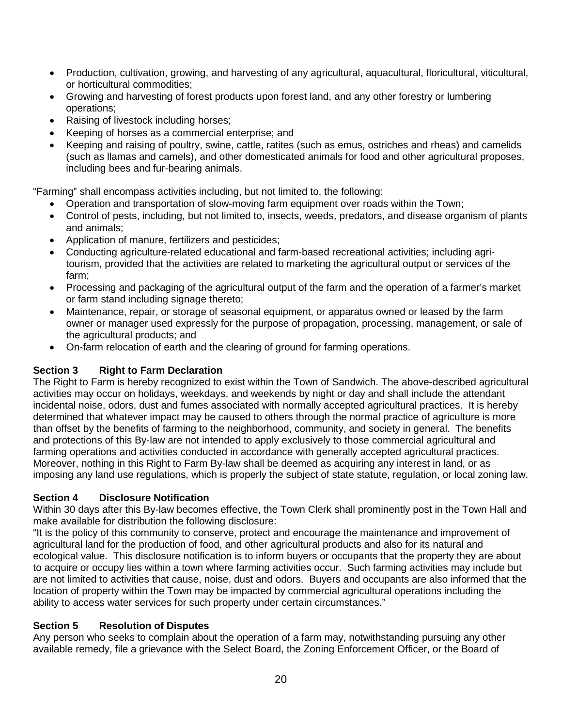- Production, cultivation, growing, and harvesting of any agricultural, aquacultural, floricultural, viticultural, or horticultural commodities;
- Growing and harvesting of forest products upon forest land, and any other forestry or lumbering operations;
- Raising of livestock including horses;
- Keeping of horses as a commercial enterprise; and
- Keeping and raising of poultry, swine, cattle, ratites (such as emus, ostriches and rheas) and camelids (such as llamas and camels), and other domesticated animals for food and other agricultural proposes, including bees and fur-bearing animals.

"Farming" shall encompass activities including, but not limited to, the following:

- Operation and transportation of slow-moving farm equipment over roads within the Town;
- Control of pests, including, but not limited to, insects, weeds, predators, and disease organism of plants and animals;
- Application of manure, fertilizers and pesticides;
- Conducting agriculture-related educational and farm-based recreational activities; including agritourism, provided that the activities are related to marketing the agricultural output or services of the farm;
- Processing and packaging of the agricultural output of the farm and the operation of a farmer's market or farm stand including signage thereto;
- Maintenance, repair, or storage of seasonal equipment, or apparatus owned or leased by the farm owner or manager used expressly for the purpose of propagation, processing, management, or sale of the agricultural products; and
- On-farm relocation of earth and the clearing of ground for farming operations.

# **Section 3 Right to Farm Declaration**

The Right to Farm is hereby recognized to exist within the Town of Sandwich. The above-described agricultural activities may occur on holidays, weekdays, and weekends by night or day and shall include the attendant incidental noise, odors, dust and fumes associated with normally accepted agricultural practices. It is hereby determined that whatever impact may be caused to others through the normal practice of agriculture is more than offset by the benefits of farming to the neighborhood, community, and society in general. The benefits and protections of this By-law are not intended to apply exclusively to those commercial agricultural and farming operations and activities conducted in accordance with generally accepted agricultural practices. Moreover, nothing in this Right to Farm By-law shall be deemed as acquiring any interest in land, or as imposing any land use regulations, which is properly the subject of state statute, regulation, or local zoning law.

# **Section 4 Disclosure Notification**

Within 30 days after this By-law becomes effective, the Town Clerk shall prominently post in the Town Hall and make available for distribution the following disclosure:

"It is the policy of this community to conserve, protect and encourage the maintenance and improvement of agricultural land for the production of food, and other agricultural products and also for its natural and ecological value. This disclosure notification is to inform buyers or occupants that the property they are about to acquire or occupy lies within a town where farming activities occur. Such farming activities may include but are not limited to activities that cause, noise, dust and odors. Buyers and occupants are also informed that the location of property within the Town may be impacted by commercial agricultural operations including the ability to access water services for such property under certain circumstances."

# **Section 5 Resolution of Disputes**

Any person who seeks to complain about the operation of a farm may, notwithstanding pursuing any other available remedy, file a grievance with the Select Board, the Zoning Enforcement Officer, or the Board of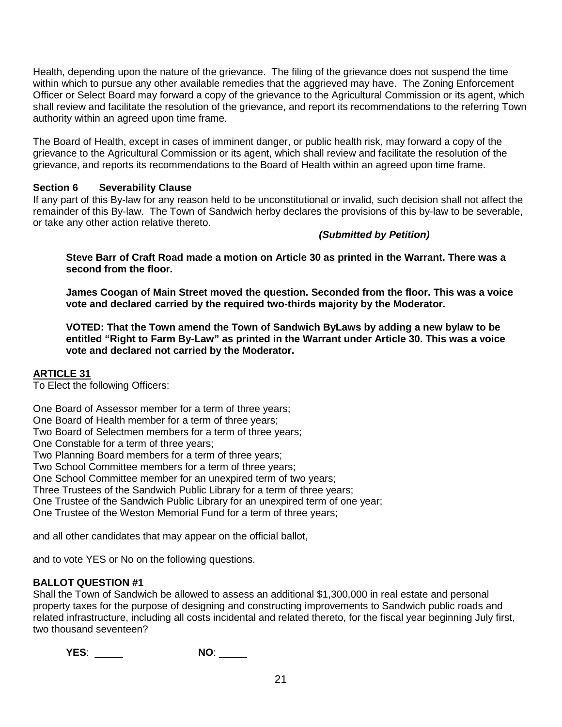Health, depending upon the nature of the grievance. The filing of the grievance does not suspend the time within which to pursue any other available remedies that the aggrieved may have. The Zoning Enforcement Officer or Select Board may forward a copy of the grievance to the Agricultural Commission or its agent, which shall review and facilitate the resolution of the grievance, and report its recommendations to the referring Town authority within an agreed upon time frame.

The Board of Health, except in cases of imminent danger, or public health risk, may forward a copy of the grievance to the Agricultural Commission or its agent, which shall review and facilitate the resolution of the grievance, and reports its recommendations to the Board of Health within an agreed upon time frame.

## **Section 6 Severability Clause**

If any part of this By-law for any reason held to be unconstitutional or invalid, such decision shall not affect the remainder of this By-law. The Town of Sandwich herby declares the provisions of this by-law to be severable, or take any other action relative thereto.

## *(Submitted by Petition)*

**Steve Barr of Craft Road made a motion on Article 30 as printed in the Warrant. There was a second from the floor.**

**James Coogan of Main Street moved the question. Seconded from the floor. This was a voice vote and declared carried by the required two-thirds majority by the Moderator.**

**VOTED: That the Town amend the Town of Sandwich ByLaws by adding a new bylaw to be entitled "Right to Farm By-Law" as printed in the Warrant under Article 30. This was a voice vote and declared not carried by the Moderator.**

## **ARTICLE 31**

To Elect the following Officers:

One Board of Assessor member for a term of three years;

One Board of Health member for a term of three years;

Two Board of Selectmen members for a term of three years;

One Constable for a term of three years;

Two Planning Board members for a term of three years;

Two School Committee members for a term of three years;

One School Committee member for an unexpired term of two years;

Three Trustees of the Sandwich Public Library for a term of three years;

One Trustee of the Sandwich Public Library for an unexpired term of one year;

One Trustee of the Weston Memorial Fund for a term of three years;

and all other candidates that may appear on the official ballot,

and to vote YES or No on the following questions.

## **BALLOT QUESTION #1**

Shall the Town of Sandwich be allowed to assess an additional \$1,300,000 in real estate and personal property taxes for the purpose of designing and constructing improvements to Sandwich public roads and related infrastructure, including all costs incidental and related thereto, for the fiscal year beginning July first, two thousand seventeen?

**YES**: \_\_\_\_\_ **NO**: \_\_\_\_\_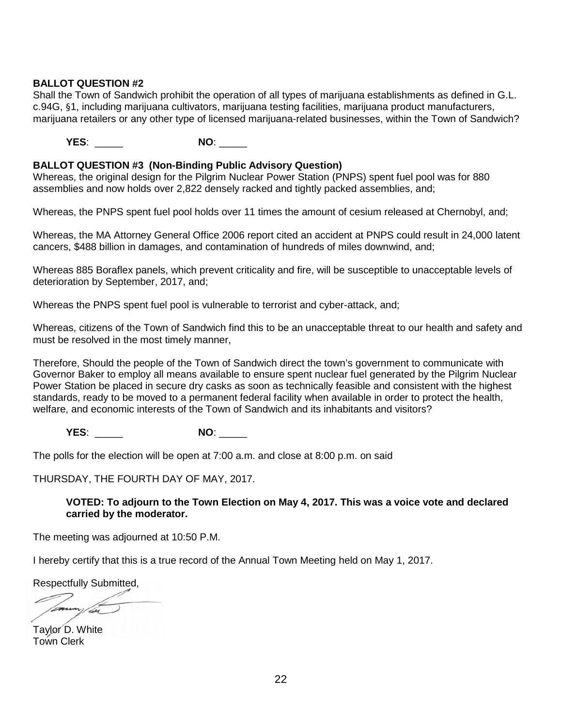## **BALLOT QUESTION #2**

Shall the Town of Sandwich prohibit the operation of all types of marijuana establishments as defined in G.L. c.94G, §1, including marijuana cultivators, marijuana testing facilities, marijuana product manufacturers, marijuana retailers or any other type of licensed marijuana-related businesses, within the Town of Sandwich?

**YES**: \_\_\_\_\_ **NO**: \_\_\_\_\_

## **BALLOT QUESTION #3 (Non-Binding Public Advisory Question)**

Whereas, the original design for the Pilgrim Nuclear Power Station (PNPS) spent fuel pool was for 880 assemblies and now holds over 2,822 densely racked and tightly packed assemblies, and;

Whereas, the PNPS spent fuel pool holds over 11 times the amount of cesium released at Chernobyl, and;

Whereas, the MA Attorney General Office 2006 report cited an accident at PNPS could result in 24,000 latent cancers, \$488 billion in damages, and contamination of hundreds of miles downwind, and;

Whereas 885 Boraflex panels, which prevent criticality and fire, will be susceptible to unacceptable levels of deterioration by September, 2017, and;

Whereas the PNPS spent fuel pool is vulnerable to terrorist and cyber-attack, and;

Whereas, citizens of the Town of Sandwich find this to be an unacceptable threat to our health and safety and must be resolved in the most timely manner,

Therefore, Should the people of the Town of Sandwich direct the town's government to communicate with Governor Baker to employ all means available to ensure spent nuclear fuel generated by the Pilgrim Nuclear Power Station be placed in secure dry casks as soon as technically feasible and consistent with the highest standards, ready to be moved to a permanent federal facility when available in order to protect the health, welfare, and economic interests of the Town of Sandwich and its inhabitants and visitors?

**YES**: \_\_\_\_\_ **NO**: \_\_\_\_\_

The polls for the election will be open at 7:00 a.m. and close at 8:00 p.m. on said

THURSDAY, THE FOURTH DAY OF MAY, 2017.

## **VOTED: To adjourn to the Town Election on May 4, 2017. This was a voice vote and declared carried by the moderator.**

The meeting was adjourned at 10:50 P.M.

I hereby certify that this is a true record of the Annual Town Meeting held on May 1, 2017.

Respectfully Submitted,

Taylor D. White Town Clerk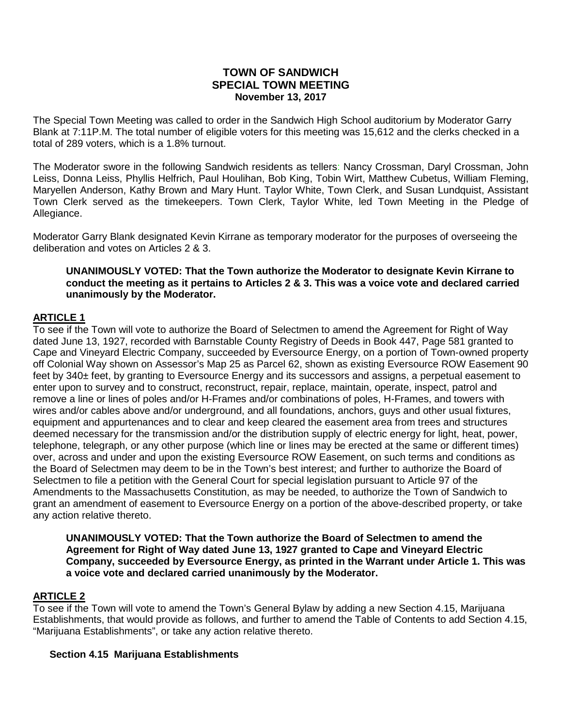## **TOWN OF SANDWICH SPECIAL TOWN MEETING November 13, 2017**

The Special Town Meeting was called to order in the Sandwich High School auditorium by Moderator Garry Blank at 7:11P.M. The total number of eligible voters for this meeting was 15,612 and the clerks checked in a total of 289 voters, which is a 1.8% turnout.

The Moderator swore in the following Sandwich residents as tellers: Nancy Crossman, Daryl Crossman, John Leiss, Donna Leiss, Phyllis Helfrich, Paul Houlihan, Bob King, Tobin Wirt, Matthew Cubetus, William Fleming, Maryellen Anderson, Kathy Brown and Mary Hunt. Taylor White, Town Clerk, and Susan Lundquist, Assistant Town Clerk served as the timekeepers. Town Clerk, Taylor White, led Town Meeting in the Pledge of Allegiance.

Moderator Garry Blank designated Kevin Kirrane as temporary moderator for the purposes of overseeing the deliberation and votes on Articles 2 & 3.

## **UNANIMOUSLY VOTED: That the Town authorize the Moderator to designate Kevin Kirrane to conduct the meeting as it pertains to Articles 2 & 3. This was a voice vote and declared carried unanimously by the Moderator.**

## **ARTICLE 1**

To see if the Town will vote to authorize the Board of Selectmen to amend the Agreement for Right of Way dated June 13, 1927, recorded with Barnstable County Registry of Deeds in Book 447, Page 581 granted to Cape and Vineyard Electric Company, succeeded by Eversource Energy, on a portion of Town-owned property off Colonial Way shown on Assessor's Map 25 as Parcel 62, shown as existing Eversource ROW Easement 90 feet by 340± feet, by granting to Eversource Energy and its successors and assigns, a perpetual easement to enter upon to survey and to construct, reconstruct, repair, replace, maintain, operate, inspect, patrol and remove a line or lines of poles and/or H-Frames and/or combinations of poles, H-Frames, and towers with wires and/or cables above and/or underground, and all foundations, anchors, guys and other usual fixtures, equipment and appurtenances and to clear and keep cleared the easement area from trees and structures deemed necessary for the transmission and/or the distribution supply of electric energy for light, heat, power, telephone, telegraph, or any other purpose (which line or lines may be erected at the same or different times) over, across and under and upon the existing Eversource ROW Easement, on such terms and conditions as the Board of Selectmen may deem to be in the Town's best interest; and further to authorize the Board of Selectmen to file a petition with the General Court for special legislation pursuant to Article 97 of the Amendments to the Massachusetts Constitution, as may be needed, to authorize the Town of Sandwich to grant an amendment of easement to Eversource Energy on a portion of the above-described property, or take any action relative thereto.

**UNANIMOUSLY VOTED: That the Town authorize the Board of Selectmen to amend the Agreement for Right of Way dated June 13, 1927 granted to Cape and Vineyard Electric Company, succeeded by Eversource Energy, as printed in the Warrant under Article 1. This was a voice vote and declared carried unanimously by the Moderator.**

## **ARTICLE 2**

To see if the Town will vote to amend the Town's General Bylaw by adding a new Section 4.15, Marijuana Establishments, that would provide as follows, and further to amend the Table of Contents to add Section 4.15, "Marijuana Establishments", or take any action relative thereto.

## **Section 4.15 Marijuana Establishments**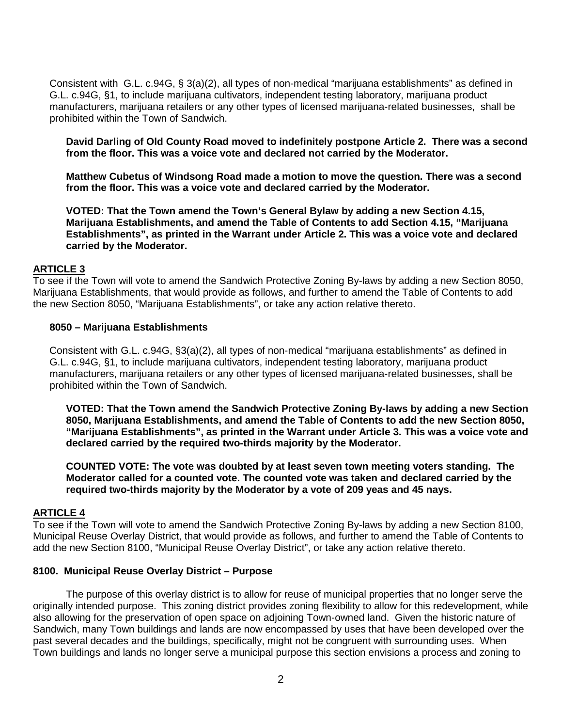Consistent with G.L. c.94G, § 3(a)(2), all types of non-medical "marijuana establishments" as defined in G.L. c.94G, §1, to include marijuana cultivators, independent testing laboratory, marijuana product manufacturers, marijuana retailers or any other types of licensed marijuana-related businesses, shall be prohibited within the Town of Sandwich.

**David Darling of Old County Road moved to indefinitely postpone Article 2. There was a second from the floor. This was a voice vote and declared not carried by the Moderator.**

**Matthew Cubetus of Windsong Road made a motion to move the question. There was a second from the floor. This was a voice vote and declared carried by the Moderator.**

**VOTED: That the Town amend the Town's General Bylaw by adding a new Section 4.15, Marijuana Establishments, and amend the Table of Contents to add Section 4.15, "Marijuana Establishments", as printed in the Warrant under Article 2. This was a voice vote and declared carried by the Moderator.**

### **ARTICLE 3**

To see if the Town will vote to amend the Sandwich Protective Zoning By-laws by adding a new Section 8050, Marijuana Establishments, that would provide as follows, and further to amend the Table of Contents to add the new Section 8050, "Marijuana Establishments", or take any action relative thereto.

### **8050 – Marijuana Establishments**

Consistent with G.L. c.94G, §3(a)(2), all types of non-medical "marijuana establishments" as defined in G.L. c.94G, §1, to include marijuana cultivators, independent testing laboratory, marijuana product manufacturers, marijuana retailers or any other types of licensed marijuana-related businesses, shall be prohibited within the Town of Sandwich.

**VOTED: That the Town amend the Sandwich Protective Zoning By-laws by adding a new Section 8050, Marijuana Establishments, and amend the Table of Contents to add the new Section 8050, "Marijuana Establishments", as printed in the Warrant under Article 3. This was a voice vote and declared carried by the required two-thirds majority by the Moderator.**

**COUNTED VOTE: The vote was doubted by at least seven town meeting voters standing. The Moderator called for a counted vote. The counted vote was taken and declared carried by the required two-thirds majority by the Moderator by a vote of 209 yeas and 45 nays.** 

### **ARTICLE 4**

To see if the Town will vote to amend the Sandwich Protective Zoning By-laws by adding a new Section 8100, Municipal Reuse Overlay District, that would provide as follows, and further to amend the Table of Contents to add the new Section 8100, "Municipal Reuse Overlay District", or take any action relative thereto.

### **8100. Municipal Reuse Overlay District – Purpose**

The purpose of this overlay district is to allow for reuse of municipal properties that no longer serve the originally intended purpose. This zoning district provides zoning flexibility to allow for this redevelopment, while also allowing for the preservation of open space on adjoining Town-owned land. Given the historic nature of Sandwich, many Town buildings and lands are now encompassed by uses that have been developed over the past several decades and the buildings, specifically, might not be congruent with surrounding uses. When Town buildings and lands no longer serve a municipal purpose this section envisions a process and zoning to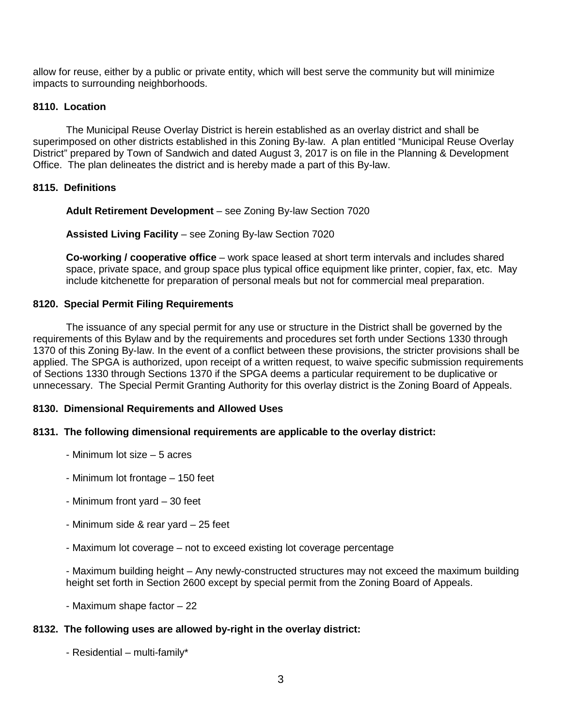allow for reuse, either by a public or private entity, which will best serve the community but will minimize impacts to surrounding neighborhoods.

### **8110. Location**

The Municipal Reuse Overlay District is herein established as an overlay district and shall be superimposed on other districts established in this Zoning By-law. A plan entitled "Municipal Reuse Overlay District" prepared by Town of Sandwich and dated August 3, 2017 is on file in the Planning & Development Office. The plan delineates the district and is hereby made a part of this By-law.

## **8115. Definitions**

**Adult Retirement Development** – see Zoning By-law Section 7020

### **Assisted Living Facility** – see Zoning By-law Section 7020

**Co-working / cooperative office** – work space leased at short term intervals and includes shared space, private space, and group space plus typical office equipment like printer, copier, fax, etc. May include kitchenette for preparation of personal meals but not for commercial meal preparation.

### **8120. Special Permit Filing Requirements**

The issuance of any special permit for any use or structure in the District shall be governed by the requirements of this Bylaw and by the requirements and procedures set forth under Sections 1330 through 1370 of this Zoning By-law. In the event of a conflict between these provisions, the stricter provisions shall be applied. The SPGA is authorized, upon receipt of a written request, to waive specific submission requirements of Sections 1330 through Sections 1370 if the SPGA deems a particular requirement to be duplicative or unnecessary. The Special Permit Granting Authority for this overlay district is the Zoning Board of Appeals.

## **8130. Dimensional Requirements and Allowed Uses**

## **8131. The following dimensional requirements are applicable to the overlay district:**

- Minimum lot size 5 acres
- Minimum lot frontage 150 feet
- Minimum front yard 30 feet
- Minimum side & rear yard 25 feet
- Maximum lot coverage not to exceed existing lot coverage percentage

- Maximum building height – Any newly-constructed structures may not exceed the maximum building height set forth in Section 2600 except by special permit from the Zoning Board of Appeals.

- Maximum shape factor – 22

# **8132. The following uses are allowed by-right in the overlay district:**

- Residential – multi-family\*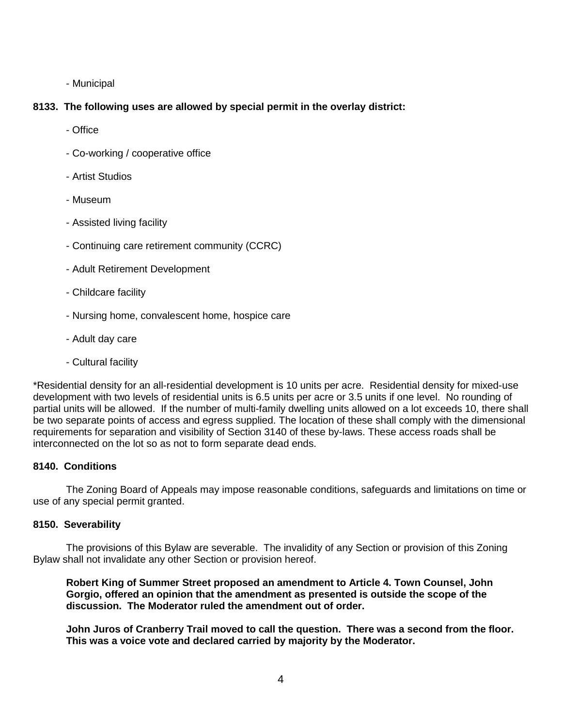- Municipal

## **8133. The following uses are allowed by special permit in the overlay district:**

- Office
- Co-working / cooperative office
- Artist Studios
- Museum
- Assisted living facility
- Continuing care retirement community (CCRC)
- Adult Retirement Development
- Childcare facility
- Nursing home, convalescent home, hospice care
- Adult day care
- Cultural facility

\*Residential density for an all-residential development is 10 units per acre. Residential density for mixed-use development with two levels of residential units is 6.5 units per acre or 3.5 units if one level. No rounding of partial units will be allowed. If the number of multi-family dwelling units allowed on a lot exceeds 10, there shall be two separate points of access and egress supplied. The location of these shall comply with the dimensional requirements for separation and visibility of Section 3140 of these by-laws. These access roads shall be interconnected on the lot so as not to form separate dead ends.

## **8140. Conditions**

The Zoning Board of Appeals may impose reasonable conditions, safeguards and limitations on time or use of any special permit granted.

## **8150. Severability**

The provisions of this Bylaw are severable. The invalidity of any Section or provision of this Zoning Bylaw shall not invalidate any other Section or provision hereof.

**Robert King of Summer Street proposed an amendment to Article 4. Town Counsel, John Gorgio, offered an opinion that the amendment as presented is outside the scope of the discussion. The Moderator ruled the amendment out of order.** 

**John Juros of Cranberry Trail moved to call the question. There was a second from the floor. This was a voice vote and declared carried by majority by the Moderator.**